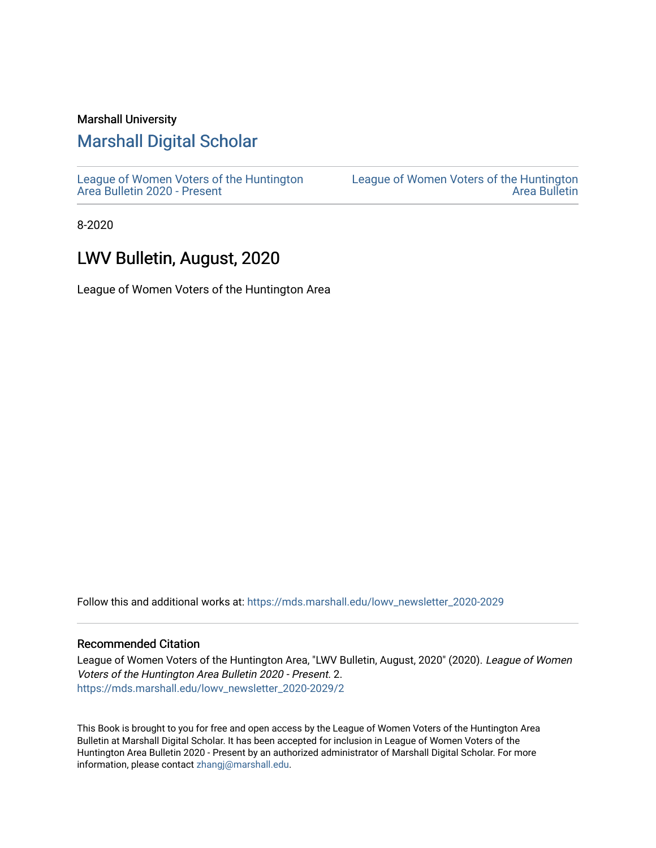### Marshall University

# [Marshall Digital Scholar](https://mds.marshall.edu/)

[League of Women Voters of the Huntington](https://mds.marshall.edu/lowv_newsletter_2020-2029) [Area Bulletin 2020 - Present](https://mds.marshall.edu/lowv_newsletter_2020-2029)

[League of Women Voters of the Huntington](https://mds.marshall.edu/lowv_newsletter)  [Area Bulletin](https://mds.marshall.edu/lowv_newsletter) 

8-2020

# LWV Bulletin, August, 2020

League of Women Voters of the Huntington Area

Follow this and additional works at: [https://mds.marshall.edu/lowv\\_newsletter\\_2020-2029](https://mds.marshall.edu/lowv_newsletter_2020-2029?utm_source=mds.marshall.edu%2Flowv_newsletter_2020-2029%2F2&utm_medium=PDF&utm_campaign=PDFCoverPages) 

#### Recommended Citation

League of Women Voters of the Huntington Area, "LWV Bulletin, August, 2020" (2020). League of Women Voters of the Huntington Area Bulletin 2020 - Present. 2. [https://mds.marshall.edu/lowv\\_newsletter\\_2020-2029/2](https://mds.marshall.edu/lowv_newsletter_2020-2029/2?utm_source=mds.marshall.edu%2Flowv_newsletter_2020-2029%2F2&utm_medium=PDF&utm_campaign=PDFCoverPages) 

This Book is brought to you for free and open access by the League of Women Voters of the Huntington Area Bulletin at Marshall Digital Scholar. It has been accepted for inclusion in League of Women Voters of the Huntington Area Bulletin 2020 - Present by an authorized administrator of Marshall Digital Scholar. For more information, please contact [zhangj@marshall.edu.](mailto:zhangj@marshall.edu)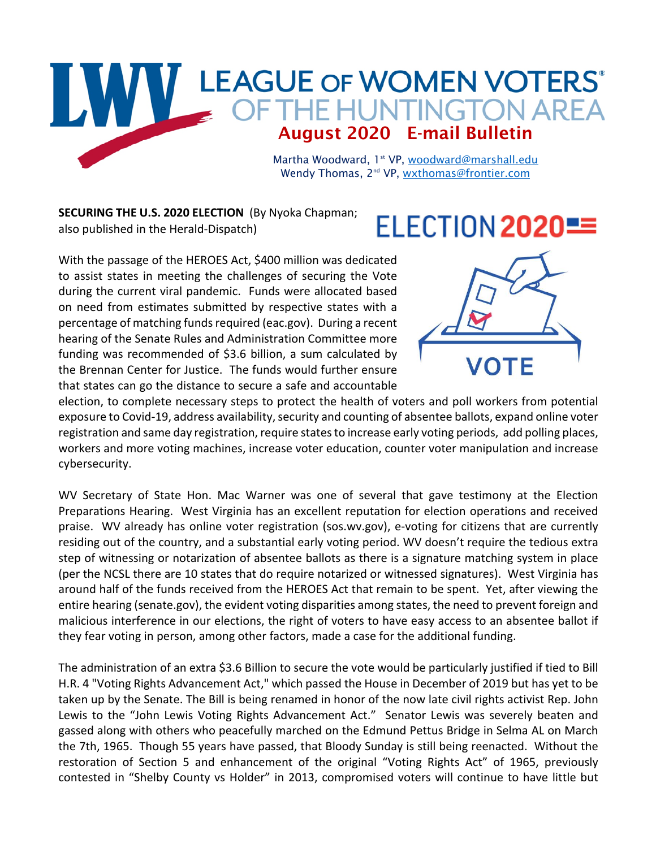# WWW LEAGUE OF WOMEN VOTERS August 2020 E-mail Bulletin Martha Woodward, 1<sup>st</sup> VP, woodward@marshall.edu Wendy Thomas, 2<sup>nd</sup> VP, wxthomas@frontier.com

**SECURING THE U.S. 2020 ELECTION** (By Nyoka Chapman; also published in the Herald-Dispatch)

**ELECTION 2020 ==** 

With the passage of the HEROES Act, \$400 million was dedicated to assist states in meeting the challenges of securing the Vote during the current viral pandemic. Funds were allocated based on need from estimates submitted by respective states with a percentage of matching funds required (eac.gov). During a recent hearing of the Senate Rules and Administration Committee more funding was recommended of \$3.6 billion, a sum calculated by the Brennan Center for Justice. The funds would further ensure that states can go the distance to secure a safe and accountable



election, to complete necessary steps to protect the health of voters and poll workers from potential exposure to Covid-19, address availability, security and counting of absentee ballots, expand online voter registration and same day registration, require states to increase early voting periods, add polling places, workers and more voting machines, increase voter education, counter voter manipulation and increase cybersecurity.

WV Secretary of State Hon. Mac Warner was one of several that gave testimony at the Election Preparations Hearing. West Virginia has an excellent reputation for election operations and received praise. WV already has online voter registration (sos.wv.gov), e-voting for citizens that are currently residing out of the country, and a substantial early voting period. WV doesn't require the tedious extra step of witnessing or notarization of absentee ballots as there is a signature matching system in place (per the NCSL there are 10 states that do require notarized or witnessed signatures). West Virginia has around half of the funds received from the HEROES Act that remain to be spent. Yet, after viewing the entire hearing (senate.gov), the evident voting disparities among states, the need to prevent foreign and malicious interference in our elections, the right of voters to have easy access to an absentee ballot if they fear voting in person, among other factors, made a case for the additional funding.

The administration of an extra \$3.6 Billion to secure the vote would be particularly justified if tied to Bill H.R. 4 "Voting Rights Advancement Act," which passed the House in December of 2019 but has yet to be taken up by the Senate. The Bill is being renamed in honor of the now late civil rights activist Rep. John Lewis to the "John Lewis Voting Rights Advancement Act." Senator Lewis was severely beaten and gassed along with others who peacefully marched on the Edmund Pettus Bridge in Selma AL on March the 7th, 1965. Though 55 years have passed, that Bloody Sunday is still being reenacted. Without the restoration of Section 5 and enhancement of the original "Voting Rights Act" of 1965, previously contested in "Shelby County vs Holder" in 2013, compromised voters will continue to have little but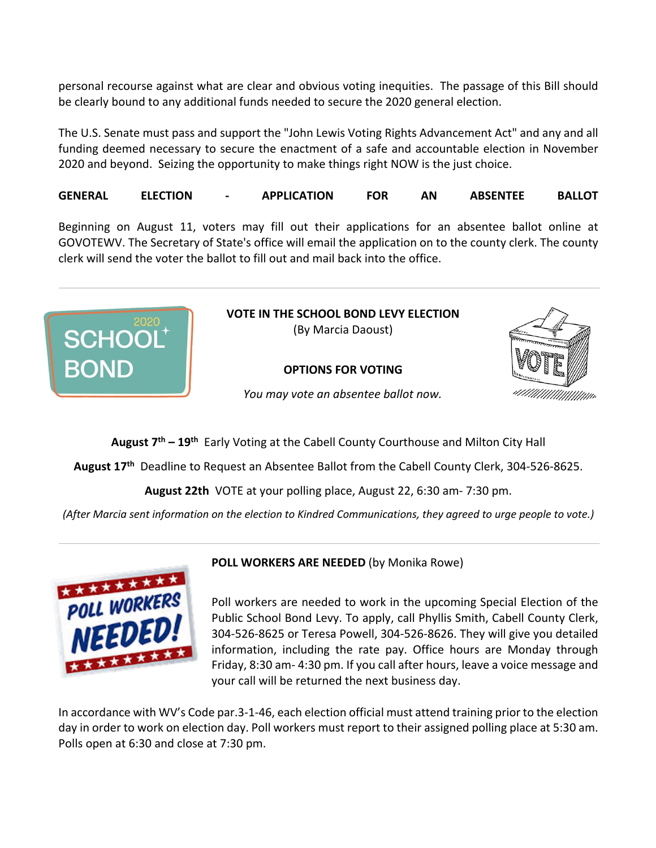personal recourse against what are clear and obvious voting inequities. The passage of this Bill should be clearly bound to any additional funds needed to secure the 2020 general election.

The U.S. Senate must pass and support the "John Lewis Voting Rights Advancement Act" and any and all funding deemed necessary to secure the enactment of a safe and accountable election in November 2020 and beyond. Seizing the opportunity to make things right NOW is the just choice.

**GENERAL ELECTION - APPLICATION FOR AN ABSENTEE BALLOT**

Beginning on August 11, voters may fill out their applications for an absentee ballot online at GOVOTEWV. The Secretary of State's office will email the application on to the county clerk. The county clerk will send the voter the ballot to fill out and mail back into the office.



**VOTE IN THE SCHOOL BOND LEVY ELECTION** (By Marcia Daoust)

## **OPTIONS FOR VOTING**



*You may vote an absentee ballot now.*

**August 7th – 19th** Early Voting at the Cabell County Courthouse and Milton City Hall

**August 17th** Deadline to Request an Absentee Ballot from the Cabell County Clerk, 304-526-8625.

**August 22th** VOTE at your polling place, August 22, 6:30 am- 7:30 pm.

*(After Marcia sent information on the election to Kindred Communications, they agreed to urge people to vote.)*



**POLL WORKERS ARE NEEDED** (by Monika Rowe)

Poll workers are needed to work in the upcoming Special Election of the Public School Bond Levy. To apply, call Phyllis Smith, Cabell County Clerk, 304-526-8625 or Teresa Powell, 304-526-8626. They will give you detailed information, including the rate pay. Office hours are Monday through Friday, 8:30 am- 4:30 pm. If you call after hours, leave a voice message and your call will be returned the next business day.

In accordance with WV's Code par.3-1-46, each election official must attend training prior to the election day in order to work on election day. Poll workers must report to their assigned polling place at 5:30 am. Polls open at 6:30 and close at 7:30 pm.